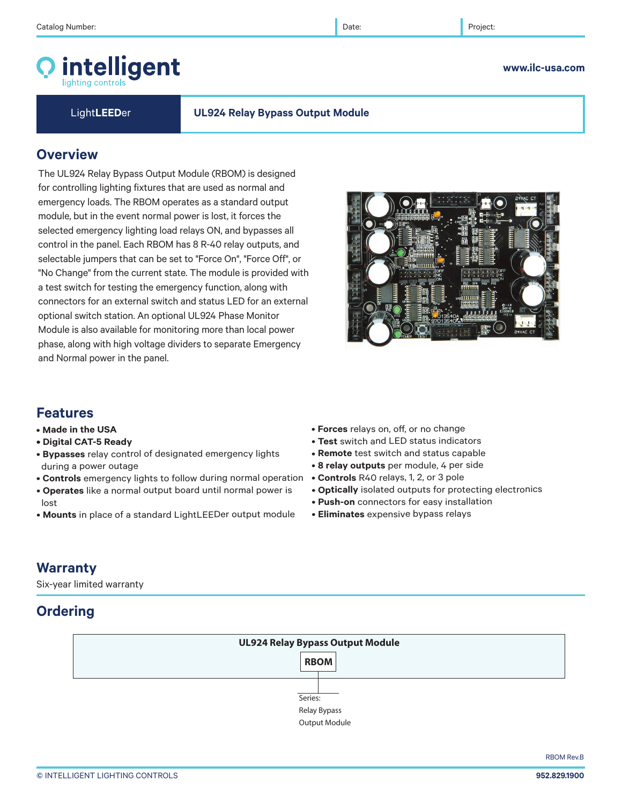# intelligent

### **www.ilc-usa.com**

### Light**LEED**er **UL924 Relay Bypass Output Module**

# **Overview**

The UL924 Relay Bypass Output Module (RBOM) is designed for controlling lighting fixtures that are used as normal and emergency loads. The RBOM operates as a standard output module, but in the event normal power is lost, it forces the selected emergency lighting load relays ON, and bypasses all control in the panel. Each RBOM has 8 R-40 relay outputs, and selectable jumpers that can be set to "Force On", "Force Off", or "No Change" from the current state. The module is provided with a test switch for testing the emergency function, along with connectors for an external switch and status LED for an external optional switch station. An optional UL924 Phase Monitor Module is also available for monitoring more than local power phase, along with high voltage dividers to separate Emergency and Normal power in the panel.

# **Features**

- **Made in the USA**
- **Digital CAT-5 Ready**
- **Bypasses** relay control of designated emergency lights during a power outage
- **Controls** emergency lights to follow during normal operation
- **Operates** like a normal output board until normal power is lost
- **Mounts** in place of a standard LightLEEDer output module
- **Forces** relays on, off, or no change
- **Test** switch and LED status indicators
- **Remote** test switch and status capable
- **8 relay outputs** per module, 4 per side
- **Controls** R40 relays, 1, 2, or 3 pole
- **Optically** isolated outputs for protecting electronics
- **Push-on** connectors for easy installation
- **Eliminates** expensive bypass relays

# **Warranty**

Six-year limited warranty

# **Ordering**



RBOM Rev.B